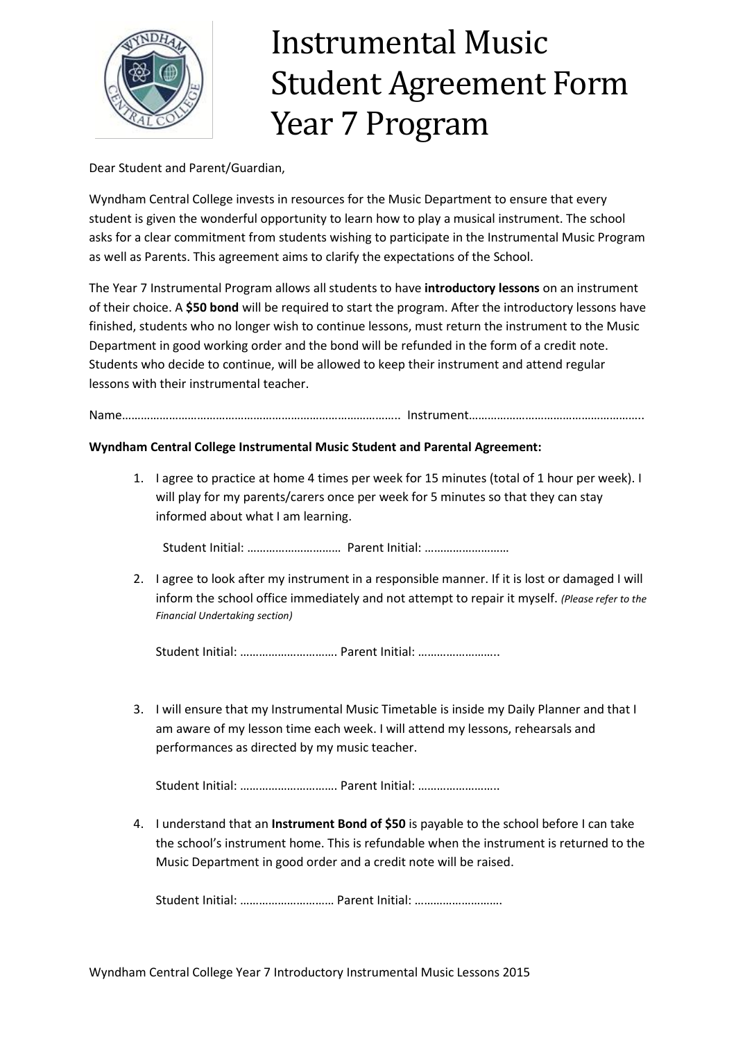

## Instrumental Music Student Agreement Form Year 7 Program

Dear Student and Parent/Guardian,

Wyndham Central College invests in resources for the Music Department to ensure that every student is given the wonderful opportunity to learn how to play a musical instrument. The school asks for a clear commitment from students wishing to participate in the Instrumental Music Program as well as Parents. This agreement aims to clarify the expectations of the School.

The Year 7 Instrumental Program allows all students to have **introductory lessons** on an instrument of their choice. A **\$50 bond** will be required to start the program. After the introductory lessons have finished, students who no longer wish to continue lessons, must return the instrument to the Music Department in good working order and the bond will be refunded in the form of a credit note. Students who decide to continue, will be allowed to keep their instrument and attend regular lessons with their instrumental teacher.

Name…………………………………………………………………………….. Instrument………………………………………………..

## **Wyndham Central College Instrumental Music Student and Parental Agreement:**

1. I agree to practice at home 4 times per week for 15 minutes (total of 1 hour per week). I will play for my parents/carers once per week for 5 minutes so that they can stay informed about what I am learning.

Student Initial: ………………………… Parent Initial: ………………………

2. I agree to look after my instrument in a responsible manner. If it is lost or damaged I will inform the school office immediately and not attempt to repair it myself. *(Please refer to the Financial Undertaking section)*

Student Initial: …………………………. Parent Initial: ……………………..

3. I will ensure that my Instrumental Music Timetable is inside my Daily Planner and that I am aware of my lesson time each week. I will attend my lessons, rehearsals and performances as directed by my music teacher.

Student Initial: …………………………. Parent Initial: ……………………..

4. I understand that an **Instrument Bond of \$50** is payable to the school before I can take the school's instrument home. This is refundable when the instrument is returned to the Music Department in good order and a credit note will be raised.

Student Initial: ………………………… Parent Initial: ……………………….